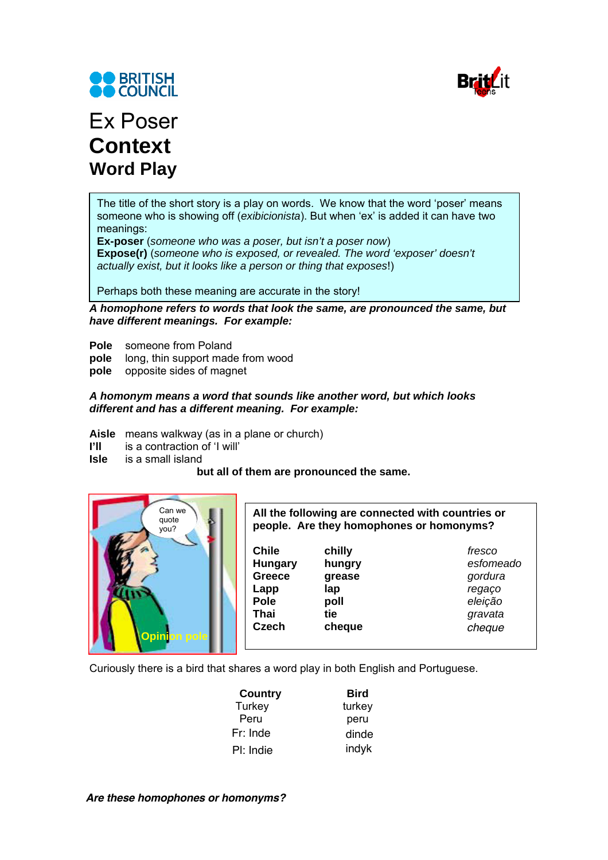



# Ex Poser **Context Word Play**

The title of the short story is a play on words. We know that the word 'poser' means someone who is showing off (*exibicionista*). But when 'ex' is added it can have two meanings:

**Ex-poser** (*someone who was a poser, but isn't a poser now*) **Expose(r)** (*someone who is exposed, or revealed. The word 'exposer' doesn't actually exist, but it looks like a person or thing that exposes*!)

Perhaps both these meaning are accurate in the story!

*A homophone refers to words that look the same, are pronounced the same, but have different meanings. For example:* 

- **Pole** someone from Poland
- **pole** long, thin support made from wood
- **pole** opposite sides of magnet

### *A homonym means a word that sounds like another word, but which looks different and has a different meaning. For example:*

- **Aisle** means walkway (as in a plane or church)
- **I'll** is a contraction of 'I will'
- **Isle** is a small island

### **but all of them are pronounced the same.**



**All the following are connected with countries or people. Are they homophones or homonyms?** 

| Ä                          | <b>Chile</b><br><b>Hungary</b><br><b>Greece</b><br>Lapp<br><b>Pole</b> | chilly<br>hungry<br>grease<br>lap<br>poll | fresco<br>esfomeado<br>gordura<br>regaço<br>eleição |
|----------------------------|------------------------------------------------------------------------|-------------------------------------------|-----------------------------------------------------|
|                            | Thai                                                                   | tie                                       | gravata                                             |
| Opini <mark>on pole</mark> | <b>Czech</b>                                                           | cheque                                    | cheque                                              |

Curiously there is a bird that shares a word play in both English and Portuguese.

| Country   | <b>Bird</b> |
|-----------|-------------|
| Turkey    | turkey      |
| Peru      | peru        |
| Fr: Inde  | dinde       |
| Pl: Indie | indyk       |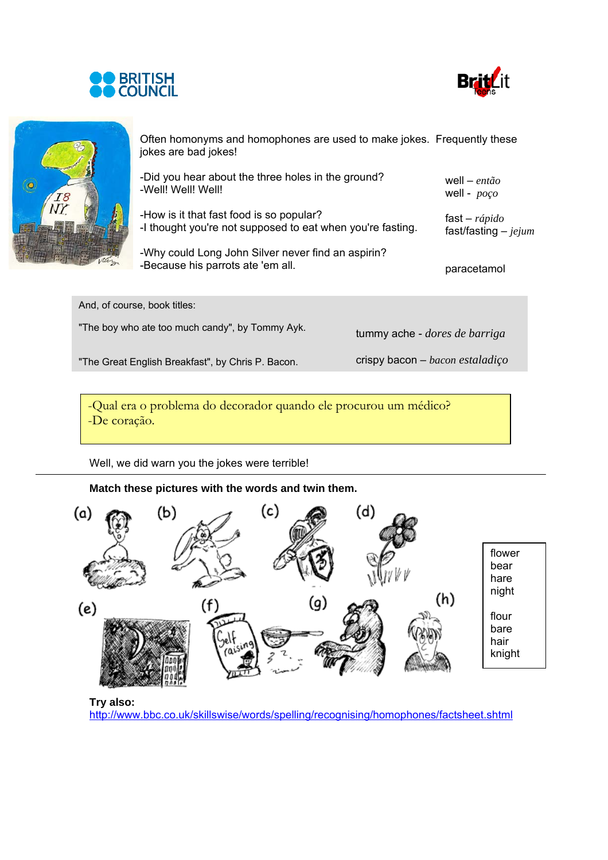





Often homonyms and homophones are used to make jokes. Frequently these jokes are bad jokes!

| -Did you hear about the three holes in the ground?<br>-Well! Well! Well!                               | well – então<br>well - $poço$             |
|--------------------------------------------------------------------------------------------------------|-------------------------------------------|
| -How is it that fast food is so popular?<br>-I thought you're not supposed to eat when you're fasting. | fast – $rápido$<br>fast/fasting $-$ jejum |
| -Why could Long John Silver never find an aspirin?<br>-Because his parrots ate 'em all.                | paracetamol                               |

| And, of course, book titles:                      |                                      |
|---------------------------------------------------|--------------------------------------|
| "The boy who ate too much candy", by Tommy Ayk.   | tummy ache - <i>dores de barriga</i> |
| "The Great English Breakfast", by Chris P. Bacon. | crispy bacon $-$ bacon estaladiço    |
|                                                   |                                      |

-Qual era o problema do decorador quando ele procurou um médico? -De coração.

Well, we did warn you the jokes were terrible!

**Match these pictures with the words and twin them.** 



**Try also:**

http://www.bbc.co.uk/skillswise/words/spelling/recognising/homophones/factsheet.shtml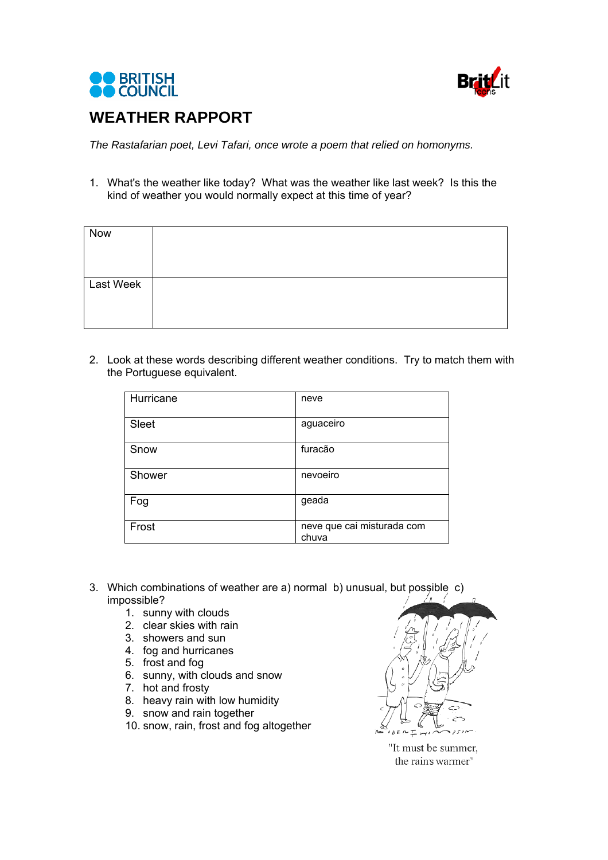



## **WEATHER RAPPORT**

*The Rastafarian poet, Levi Tafari, once wrote a poem that relied on homonyms.* 

1. What's the weather like today? What was the weather like last week? Is this the kind of weather you would normally expect at this time of year?

| Now       |  |
|-----------|--|
| Last Week |  |
|           |  |

2. Look at these words describing different weather conditions. Try to match them with the Portuguese equivalent.

| Hurricane | neve                                |
|-----------|-------------------------------------|
| Sleet     | aguaceiro                           |
| Snow      | furacão                             |
| Shower    | nevoeiro                            |
| Fog       | geada                               |
| Frost     | neve que cai misturada com<br>chuva |

- 3. Which combinations of weather are a) normal b) unusual, but possible c) impossible?
	- 1. sunny with clouds
	- 2. clear skies with rain
	- 3. showers and sun
	- 4. fog and hurricanes
	- 5. frost and fog
	- 6. sunny, with clouds and snow
	- 7. hot and frosty
	- 8. heavy rain with low humidity
	- 9. snow and rain together
	- 10. snow, rain, frost and fog altogether

 $BEM<sub>L</sub>$ 

"It must be summer, the rain's warmer"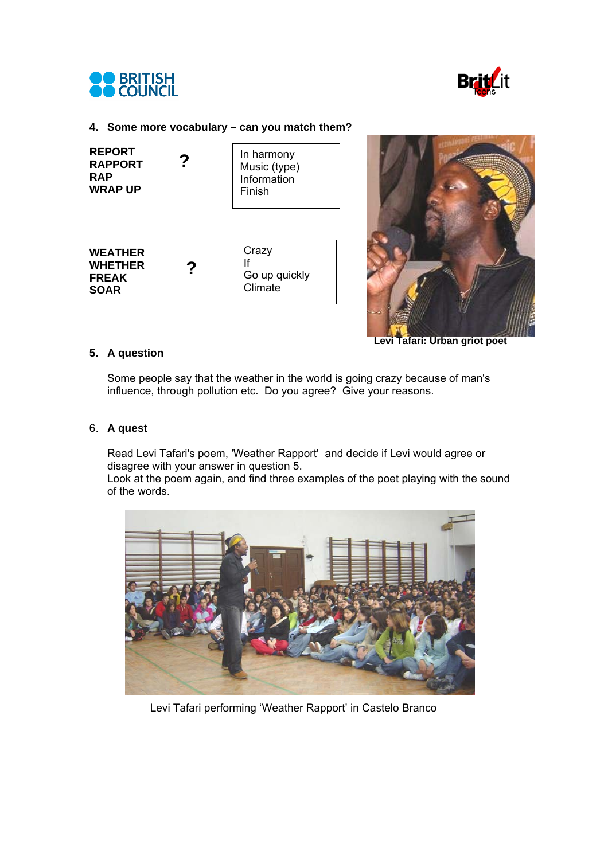



#### **4. Some more vocabulary – can you match them?**

| <b>REPORT</b><br><b>RAPPORT</b><br><b>RAP</b><br><b>WRAP UP</b> | In harmony<br>Music (type)<br>Information<br>Finish |
|-----------------------------------------------------------------|-----------------------------------------------------|
| <b>WEATHER</b><br><b>WHETHER</b><br><b>FREAK</b><br><b>SOAR</b> | Crazy<br>lf<br>Go up quickly<br>Climate             |



**Levi Tafari: Urban griot poet** 

### **5. A question**

Some people say that the weather in the world is going crazy because of man's influence, through pollution etc. Do you agree? Give your reasons.

#### 6. **A quest**

Read Levi Tafari's poem, 'Weather Rapport' and decide if Levi would agree or disagree with your answer in question 5.

Look at the poem again, and find three examples of the poet playing with the sound of the words.



Levi Tafari performing 'Weather Rapport' in Castelo Branco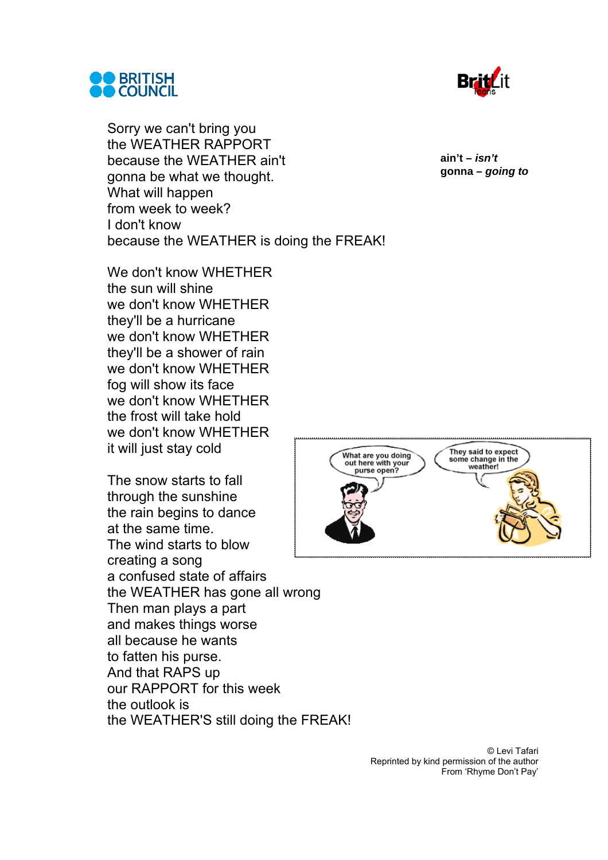



Sorry we can't bring you the WEATHER RAPPORT because the WEATHER ain't gonna be what we thought. What will happen from week to week? I don't know because the WEATHER is doing the FREAK!

We don't know WHETHER the sun will shine we don't know WHETHER they'll be a hurricane we don't know WHETHER they'll be a shower of rain we don't know WHETHER fog will show its face we don't know WHETHER the frost will take hold we don't know WHETHER it will just stay cold

The snow starts to fall through the sunshine the rain begins to dance at the same time. The wind starts to blow creating a song a confused state of affairs the WEATHER has gone all wrong Then man plays a part and makes things worse all because he wants to fatten his purse. And that RAPS up our RAPPORT for this week the outlook is the WEATHER'S still doing the FREAK! **ain't –** *isn't* **gonna –** *going to*



© Levi Tafari Reprinted by kind permission of the author From 'Rhyme Don't Pay'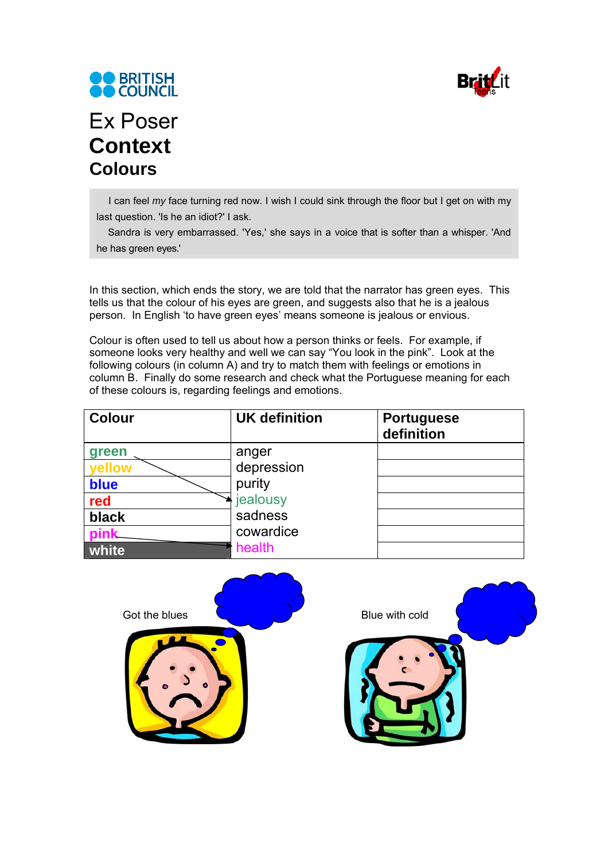



# Ex Poser **Context Colours**

I can feel *my* face turning red now. I wish I could sink through the floor but I get on with my last question. 'Is he an idiot?' I ask.

Sandra is very embarrassed. 'Yes,' she says in a voice that is softer than a whisper. 'And he has green eyes.'

In this section, which ends the story, we are told that the narrator has green eyes. This tells us that the colour of his eyes are green, and suggests also that he is a jealous person. In English 'to have green eyes' means someone is jealous or envious.

Colour is often used to tell us about how a person thinks or feels. For example, if someone looks very healthy and well we can say "You look in the pink". Look at the following colours (in column A) and try to match them with feelings or emotions in column B. Finally do some research and check what the Portuguese meaning for each of these colours is, regarding feelings and emotions.

| <b>Colour</b> | <b>UK definition</b> | <b>Portuguese</b><br>definition |
|---------------|----------------------|---------------------------------|
| green         | anger                |                                 |
| vellow        | depression           |                                 |
| blue          | purity               |                                 |
| red           | <i>i</i> ealousy     |                                 |
| black         | sadness              |                                 |
| ink           | cowardice            |                                 |
| white         | health               |                                 |

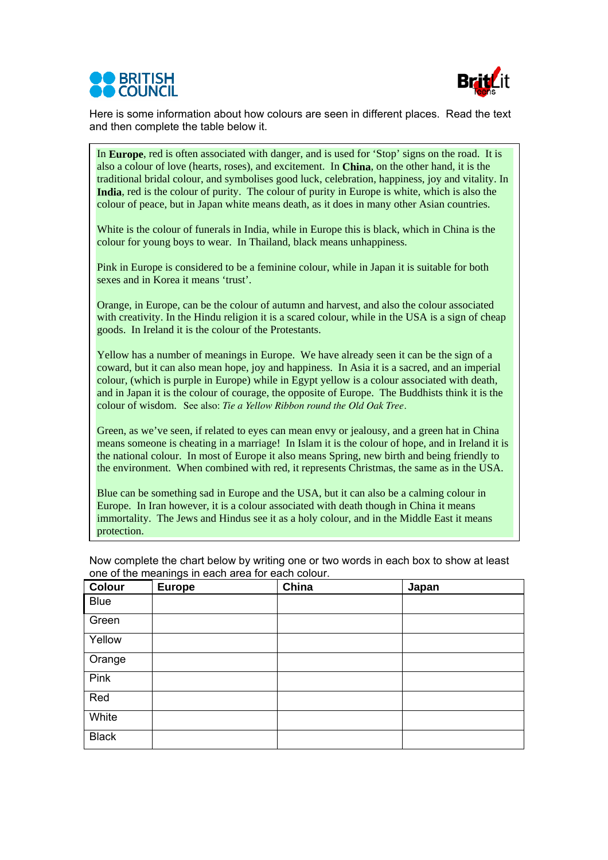



Here is some information about how colours are seen in different places. Read the text and then complete the table below it.

In **Europe**, red is often associated with danger, and is used for 'Stop' signs on the road. It is also a colour of love (hearts, roses), and excitement. In **China**, on the other hand, it is the traditional bridal colour, and symbolises good luck, celebration, happiness, joy and vitality. In **India**, red is the colour of purity. The colour of purity in Europe is white, which is also the colour of peace, but in Japan white means death, as it does in many other Asian countries.

White is the colour of funerals in India, while in Europe this is black, which in China is the colour for young boys to wear. In Thailand, black means unhappiness.

Pink in Europe is considered to be a feminine colour, while in Japan it is suitable for both sexes and in Korea it means 'trust'.

Orange, in Europe, can be the colour of autumn and harvest, and also the colour associated with creativity. In the Hindu religion it is a scared colour, while in the USA is a sign of cheap goods. In Ireland it is the colour of the Protestants.

Yellow has a number of meanings in Europe. We have already seen it can be the sign of a coward, but it can also mean hope, joy and happiness. In Asia it is a sacred, and an imperial colour, (which is purple in Europe) while in Egypt yellow is a colour associated with death, and in Japan it is the colour of courage, the opposite of Europe. The Buddhists think it is the colour of wisdom. See also: *Tie a Yellow Ribbon round the Old Oak Tree.*

Green, as we've seen, if related to eyes can mean envy or jealousy, and a green hat in China means someone is cheating in a marriage! In Islam it is the colour of hope, and in Ireland it is the national colour. In most of Europe it also means Spring, new birth and being friendly to the environment. When combined with red, it represents Christmas, the same as in the USA.

Blue can be something sad in Europe and the USA, but it can also be a calming colour in Europe. In Iran however, it is a colour associated with death though in China it means immortality. The Jews and Hindus see it as a holy colour, and in the Middle East it means protection.

| <b>Colour</b> | <b>Europe</b> | China | Japan |
|---------------|---------------|-------|-------|
| <b>Blue</b>   |               |       |       |
| Green         |               |       |       |
| Yellow        |               |       |       |
| Orange        |               |       |       |
| Pink          |               |       |       |
| Red           |               |       |       |
| White         |               |       |       |
| <b>Black</b>  |               |       |       |

Now complete the chart below by writing one or two words in each box to show at least one of the meanings in each area for each colour.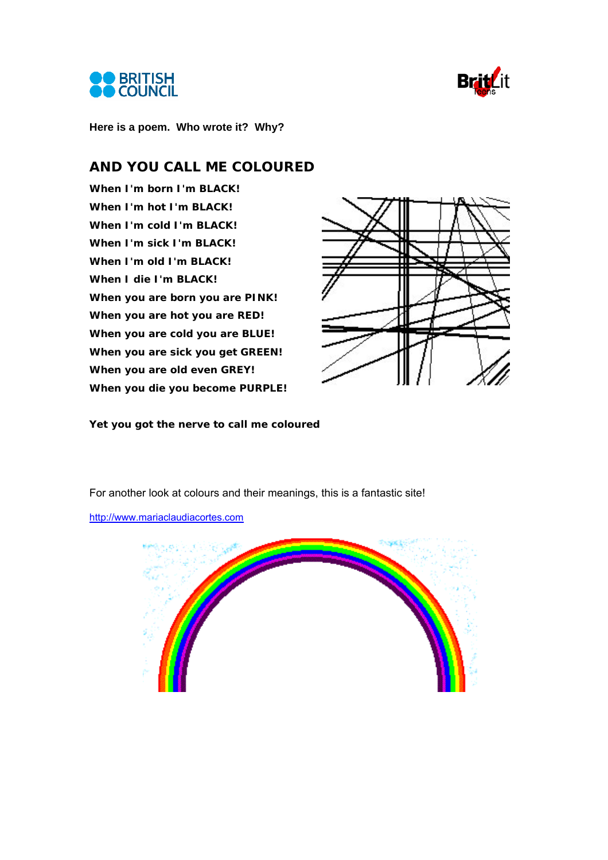



**Here is a poem. Who wrote it? Why?** 

### **AND YOU CALL ME COLOURED**

**When I'm born I'm BLACK! When I'm hot I'm BLACK! When I'm cold I'm BLACK! When I'm sick I'm BLACK! When I'm old I'm BLACK! When I die I'm BLACK! When you are born you are PINK! When you are hot you are RED! When you are cold you are BLUE! When you are sick you get GREEN! When you are old even GREY! When you die you become PURPLE!** 



**Yet you got the nerve to call me coloured** 

For another look at colours and their meanings, this is a fantastic site!

http://www.mariaclaudiacortes.com

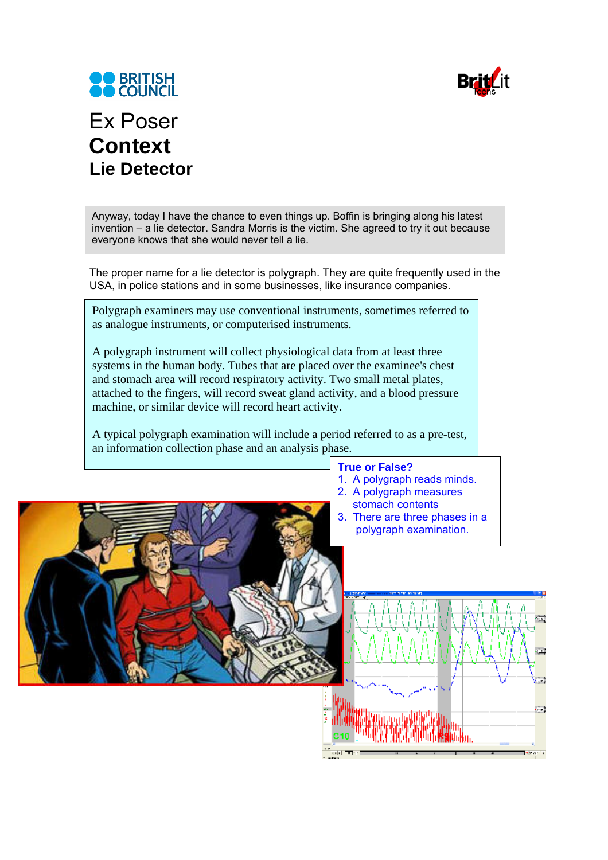



# Ex Poser **Context Lie Detector**

Anyway, today I have the chance to even things up. Boffin is bringing along his latest invention – a lie detector. Sandra Morris is the victim. She agreed to try it out because everyone knows that she would never tell a lie.

The proper name for a lie detector is polygraph. They are quite frequently used in the USA, in police stations and in some businesses, like insurance companies.

Polygraph examiners may use conventional instruments, sometimes referred to as analogue instruments, or computerised instruments.

A polygraph instrument will collect physiological data from at least three systems in the human body. Tubes that are placed over the examinee's chest and stomach area will record respiratory activity. Two small metal plates, attached to the fingers, will record sweat gland activity, and a blood pressure machine, or similar device will record heart activity.

A typical polygraph examination will include a period referred to as a pre-test, an information collection phase and an analysis phase.

#### **True or False?**

- 1. A polygraph reads minds.
- 2. A polygraph measures
	- stomach contents
- 3. There are three phases in a polygraph examination.

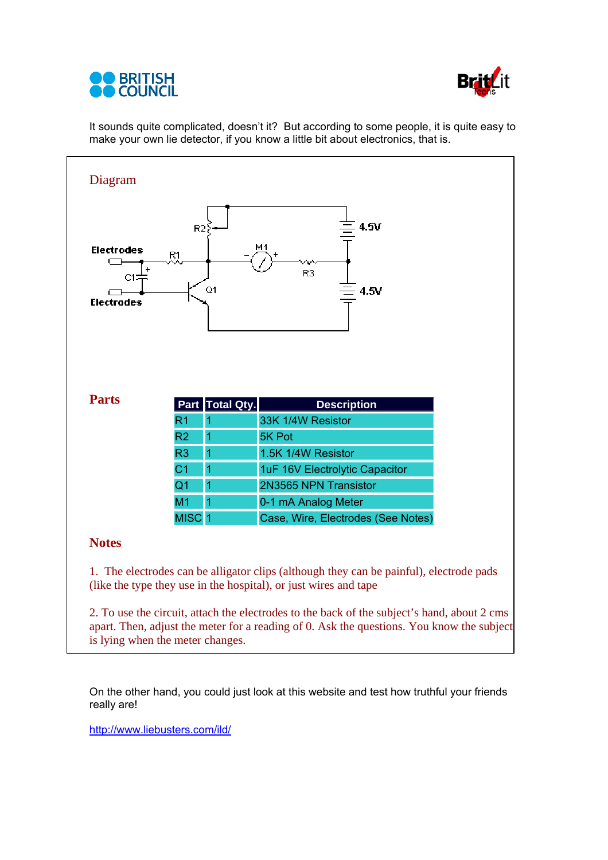



It sounds quite complicated, doesn't it? But according to some people, it is quite easy to make your own lie detector, if you know a little bit about electronics, that is.



apart. Then, adjust the meter for a reading of 0. Ask the questions. You know the subject is lying when the meter changes.

On the other hand, you could just look at this website and test how truthful your friends really are!

http://www.liebusters.com/ild/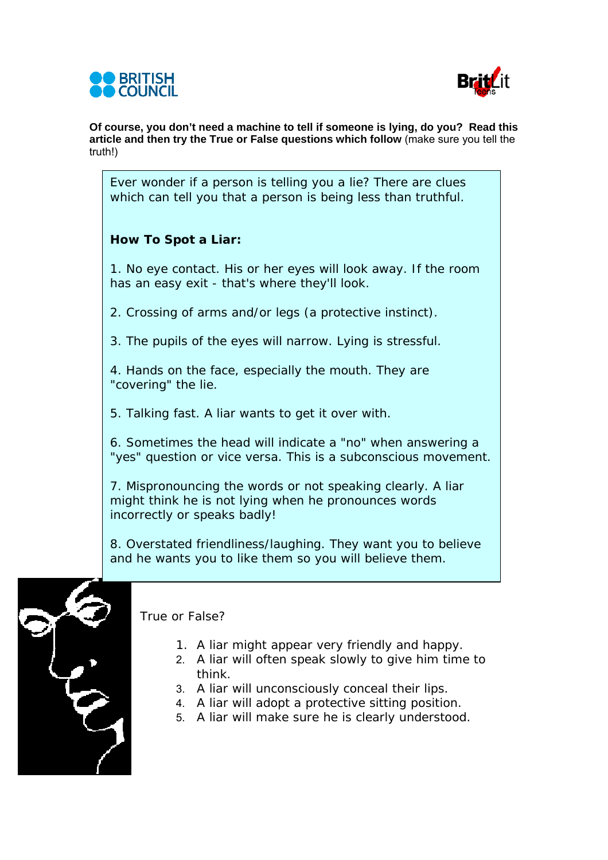



**Of course, you don't need a machine to tell if someone is lying, do you? Read this article and then try the True or False questions which follow** (make sure you tell the truth!)

Ever wonder if a person is telling you a lie? There are clues which can tell you that a person is being less than truthful.

### **How To Spot a Liar:**

1. No eye contact. His or her eyes will look away. If the room has an easy exit - that's where they'll look.

2. Crossing of arms and/or legs (a protective instinct).

3. The pupils of the eyes will narrow. Lying is stressful.

4. Hands on the face, especially the mouth. They are "covering" the lie.

5. Talking fast. A liar wants to get it over with.

6. Sometimes the head will indicate a "no" when answering a "yes" question or vice versa. This is a subconscious movement.

7. Mispronouncing the words or not speaking clearly. A liar might think he is not lying when he pronounces words incorrectly or speaks badly!

8. Overstated friendliness/laughing. They want you to believe and he wants you to like them so you will believe them.



True or False?

- 1. A liar might appear very friendly and happy.
- 2. A liar will often speak slowly to give him time to think.
- 3. A liar will unconsciously conceal their lips.
- 4. A liar will adopt a protective sitting position.
- 5. A liar will make sure he is clearly understood.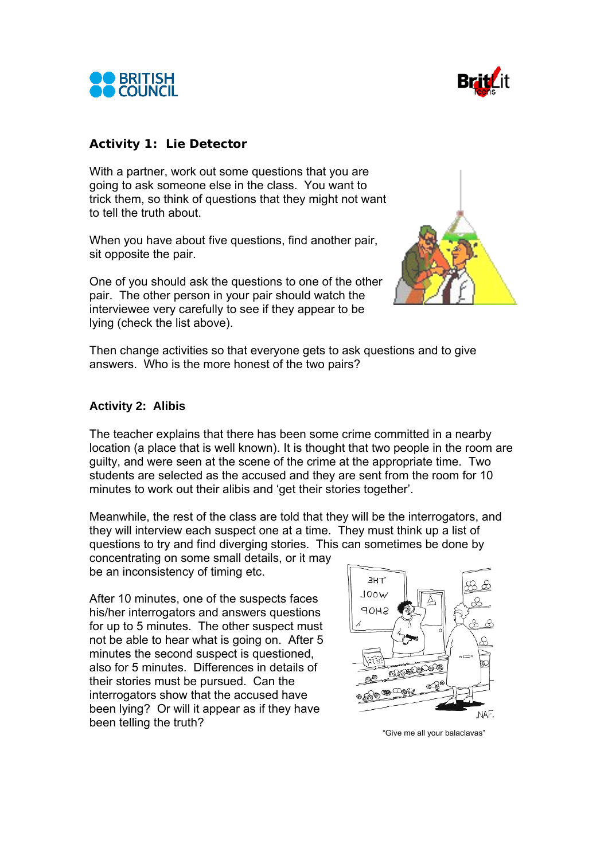



### **Activity 1: Lie Detector**

With a partner, work out some questions that you are going to ask someone else in the class. You want to trick them, so think of questions that they might not want to tell the truth about.

When you have about five questions, find another pair, sit opposite the pair.

One of you should ask the questions to one of the other pair. The other person in your pair should watch the interviewee very carefully to see if they appear to be lying (check the list above).



Then change activities so that everyone gets to ask questions and to give answers. Who is the more honest of the two pairs?

### **Activity 2: Alibis**

The teacher explains that there has been some crime committed in a nearby location (a place that is well known). It is thought that two people in the room are guilty, and were seen at the scene of the crime at the appropriate time. Two students are selected as the accused and they are sent from the room for 10 minutes to work out their alibis and 'get their stories together'.

Meanwhile, the rest of the class are told that they will be the interrogators, and they will interview each suspect one at a time. They must think up a list of questions to try and find diverging stories. This can sometimes be done by

concentrating on some small details, or it may be an inconsistency of timing etc.

After 10 minutes, one of the suspects faces his/her interrogators and answers questions for up to 5 minutes. The other suspect must not be able to hear what is going on. After 5 minutes the second suspect is questioned, also for 5 minutes. Differences in details of their stories must be pursued. Can the interrogators show that the accused have been lying? Or will it appear as if they have been telling the truth?



"Give me all your balaclavas"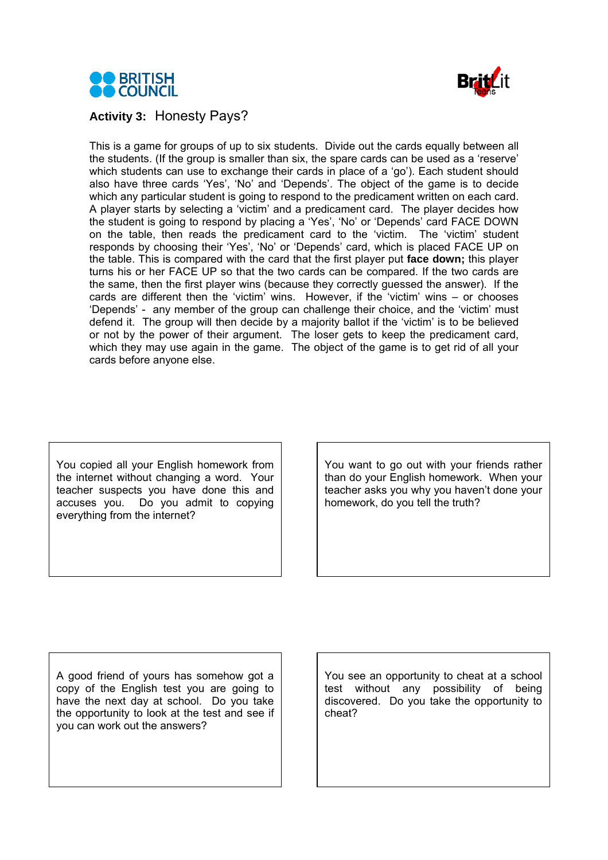



### **Activity 3:** Honesty Pays?

This is a game for groups of up to six students. Divide out the cards equally between all the students. (If the group is smaller than six, the spare cards can be used as a 'reserve' which students can use to exchange their cards in place of a 'go'). Each student should also have three cards 'Yes', 'No' and 'Depends'. The object of the game is to decide which any particular student is going to respond to the predicament written on each card. A player starts by selecting a 'victim' and a predicament card. The player decides how the student is going to respond by placing a 'Yes', 'No' or 'Depends' card FACE DOWN on the table, then reads the predicament card to the 'victim. The 'victim' student responds by choosing their 'Yes', 'No' or 'Depends' card, which is placed FACE UP on the table. This is compared with the card that the first player put **face down;** this player turns his or her FACE UP so that the two cards can be compared. If the two cards are the same, then the first player wins (because they correctly guessed the answer). If the cards are different then the 'victim' wins. However, if the 'victim' wins – or chooses 'Depends' - any member of the group can challenge their choice, and the 'victim' must defend it. The group will then decide by a majority ballot if the 'victim' is to be believed or not by the power of their argument. The loser gets to keep the predicament card, which they may use again in the game. The object of the game is to get rid of all your cards before anyone else.

You copied all your English homework from the internet without changing a word. Your teacher suspects you have done this and accuses you. Do you admit to copying everything from the internet?

You want to go out with your friends rather than do your English homework. When your teacher asks you why you haven't done your homework, do you tell the truth?

A good friend of yours has somehow got a copy of the English test you are going to have the next day at school. Do you take the opportunity to look at the test and see if you can work out the answers?

You see an opportunity to cheat at a school test without any possibility of being discovered. Do you take the opportunity to cheat?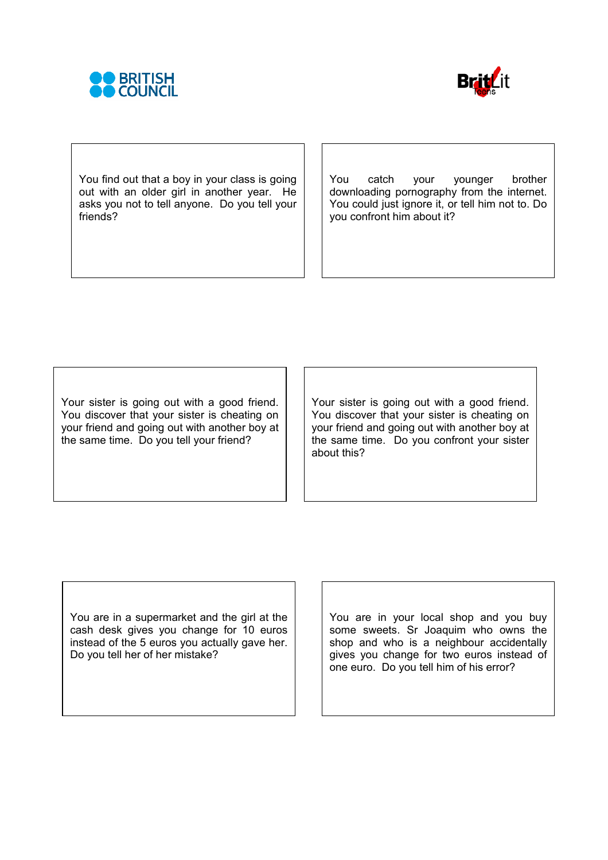



You find out that a boy in your class is going out with an older girl in another year. He asks you not to tell anyone. Do you tell your friends?

You catch your younger brother downloading pornography from the internet. You could just ignore it, or tell him not to. Do you confront him about it?

Your sister is going out with a good friend. You discover that your sister is cheating on your friend and going out with another boy at the same time. Do you tell your friend?

Your sister is going out with a good friend. You discover that your sister is cheating on your friend and going out with another boy at the same time. Do you confront your sister about this?

You are in a supermarket and the girl at the cash desk gives you change for 10 euros instead of the 5 euros you actually gave her. Do you tell her of her mistake?

You are in your local shop and you buy some sweets. Sr Joaquim who owns the shop and who is a neighbour accidentally gives you change for two euros instead of one euro. Do you tell him of his error?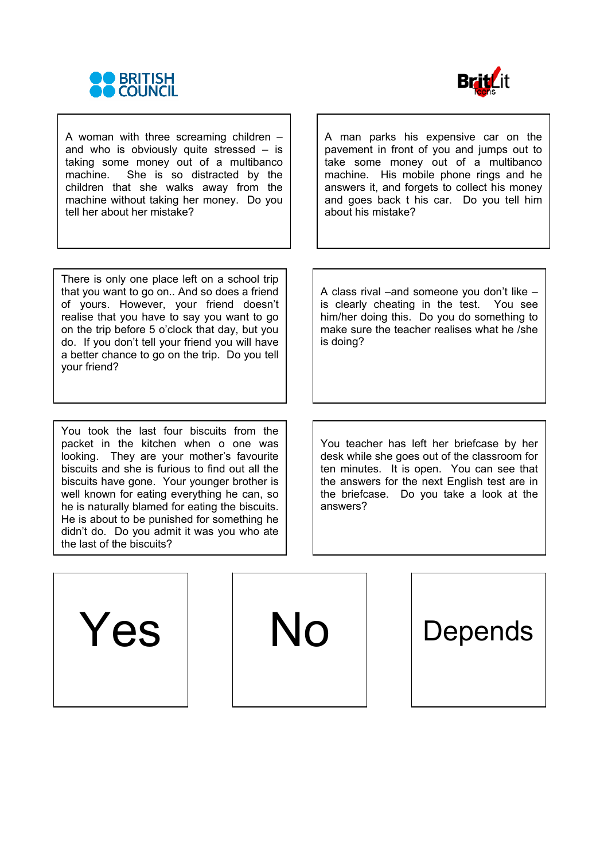



A woman with three screaming children – and who is obviously quite stressed  $-$  is taking some money out of a multibanco machine. She is so distracted by the children that she walks away from the machine without taking her money. Do you tell her about her mistake?

A man parks his expensive car on the pavement in front of you and jumps out to take some money out of a multibanco machine. His mobile phone rings and he answers it, and forgets to collect his money and goes back t his car. Do you tell him about his mistake?

There is only one place left on a school trip that you want to go on.. And so does a friend of yours. However, your friend doesn't realise that you have to say you want to go on the trip before 5 o'clock that day, but you do. If you don't tell your friend you will have a better chance to go on the trip. Do you tell your friend?

You took the last four biscuits from the packet in the kitchen when o one was looking. They are your mother's favourite biscuits and she is furious to find out all the biscuits have gone. Your younger brother is well known for eating everything he can, so he is naturally blamed for eating the biscuits. He is about to be punished for something he didn't do. Do you admit it was you who ate the last of the biscuits?

A class rival –and someone you don't like – is clearly cheating in the test. You see him/her doing this. Do you do something to make sure the teacher realises what he /she is doing?

You teacher has left her briefcase by her desk while she goes out of the classroom for ten minutes. It is open. You can see that the answers for the next English test are in the briefcase. Do you take a look at the answers?

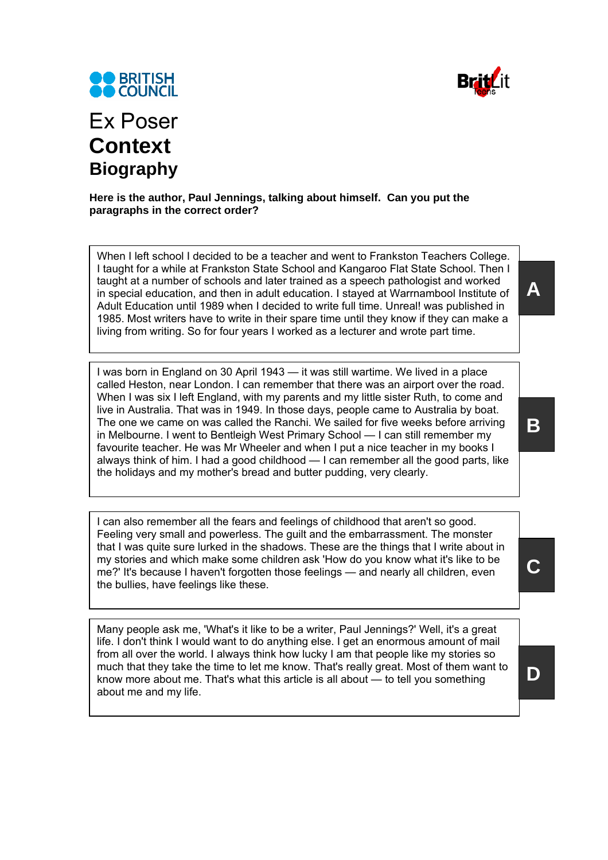



# Ex Poser **Context Biography**

### **Here is the author, Paul Jennings, talking about himself. Can you put the paragraphs in the correct order?**

When I left school I decided to be a teacher and went to Frankston Teachers College. I taught for a while at Frankston State School and Kangaroo Flat State School. Then I taught at a number of schools and later trained as a speech pathologist and worked in special education, and then in adult education. I stayed at Warrnambool Institute of Adult Education until 1989 when I decided to write full time. Unreal! was published in 1985. Most writers have to write in their spare time until they know if they can make a living from writing. So for four years I worked as a lecturer and wrote part time.

I was born in England on 30 April 1943 — it was still wartime. We lived in a place called Heston, near London. I can remember that there was an airport over the road. When I was six I left England, with my parents and my little sister Ruth, to come and live in Australia. That was in 1949. In those days, people came to Australia by boat. The one we came on was called the Ranchi. We sailed for five weeks before arriving in Melbourne. I went to Bentleigh West Primary School — I can still remember my favourite teacher. He was Mr Wheeler and when I put a nice teacher in my books I always think of him. I had a good childhood — I can remember all the good parts, like the holidays and my mother's bread and butter pudding, very clearly.

I can also remember all the fears and feelings of childhood that aren't so good. Feeling very small and powerless. The guilt and the embarrassment. The monster that I was quite sure lurked in the shadows. These are the things that I write about in my stories and which make some children ask 'How do you know what it's like to be me?' It's because I haven't forgotten those feelings — and nearly all children, even the bullies, have feelings like these.

Many people ask me, 'What's it like to be a writer, Paul Jennings?' Well, it's a great life. I don't think I would want to do anything else. I get an enormous amount of mail from all over the world. I always think how lucky I am that people like my stories so much that they take the time to let me know. That's really great. Most of them want to know more about me. That's what this article is all about — to tell you something about me and my life.

**A** 

**B** 

**C** 

**D**